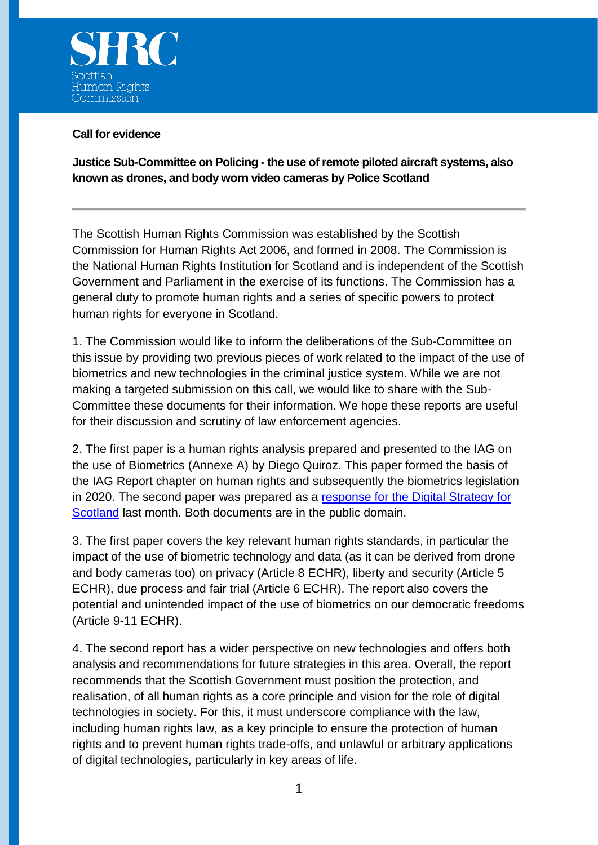

#### **Call for evidence**

**Justice Sub-Committee on Policing - the use of remote piloted aircraft systems, also known as drones, and body worn video cameras by Police Scotland**

The Scottish Human Rights Commission was established by the Scottish Commission for Human Rights Act 2006, and formed in 2008. The Commission is the National Human Rights Institution for Scotland and is independent of the Scottish Government and Parliament in the exercise of its functions. The Commission has a general duty to promote human rights and a series of specific powers to protect human rights for everyone in Scotland.

1. The Commission would like to inform the deliberations of the Sub-Committee on this issue by providing two previous pieces of work related to the impact of the use of biometrics and new technologies in the criminal justice system. While we are not making a targeted submission on this call, we would like to share with the Sub-Committee these documents for their information. We hope these reports are useful for their discussion and scrutiny of law enforcement agencies.

2. The first paper is a human rights analysis prepared and presented to the IAG on the use of Biometrics (Annexe A) by Diego Quiroz. This paper formed the basis of the IAG Report chapter on human rights and subsequently the biometrics legislation in 2020. The second paper was prepared as a [response for the Digital Strategy for](https://www.scottishhumanrights.com/media/2141/submission-to-scottish-government-on-consultation-on-the-digital-strategy-for-scotland-final-for-web.pdf)  [Scotland](https://www.scottishhumanrights.com/media/2141/submission-to-scottish-government-on-consultation-on-the-digital-strategy-for-scotland-final-for-web.pdf) last month. Both documents are in the public domain.

3. The first paper covers the key relevant human rights standards, in particular the impact of the use of biometric technology and data (as it can be derived from drone and body cameras too) on privacy (Article 8 ECHR), liberty and security (Article 5 ECHR), due process and fair trial (Article 6 ECHR). The report also covers the potential and unintended impact of the use of biometrics on our democratic freedoms (Article 9-11 ECHR).

4. The second report has a wider perspective on new technologies and offers both analysis and recommendations for future strategies in this area. Overall, the report recommends that the Scottish Government must position the protection, and realisation, of all human rights as a core principle and vision for the role of digital technologies in society. For this, it must underscore compliance with the law, including human rights law, as a key principle to ensure the protection of human rights and to prevent human rights trade-offs, and unlawful or arbitrary applications of digital technologies, particularly in key areas of life.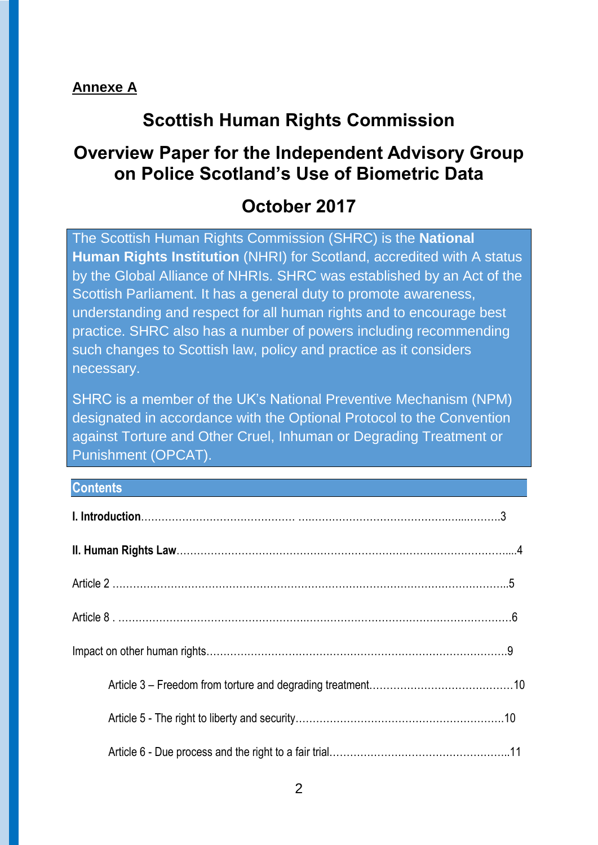### **Annexe A**

# **Scottish Human Rights Commission**

# **Overview Paper for the Independent Advisory Group on Police Scotland's Use of Biometric Data**

# **October 2017**

The Scottish Human Rights Commission (SHRC) is the **National Human Rights Institution** (NHRI) for Scotland, accredited with A status by the Global Alliance of NHRIs. SHRC was established by an Act of the Scottish Parliament. It has a general duty to promote awareness, understanding and respect for all human rights and to encourage best practice. SHRC also has a number of powers including recommending such changes to Scottish law, policy and practice as it considers necessary.

SHRC is a member of the UK's National Preventive Mechanism (NPM) designated in accordance with the Optional Protocol to the Convention against Torture and Other Cruel, Inhuman or Degrading Treatment or Punishment (OPCAT).

#### **Contents**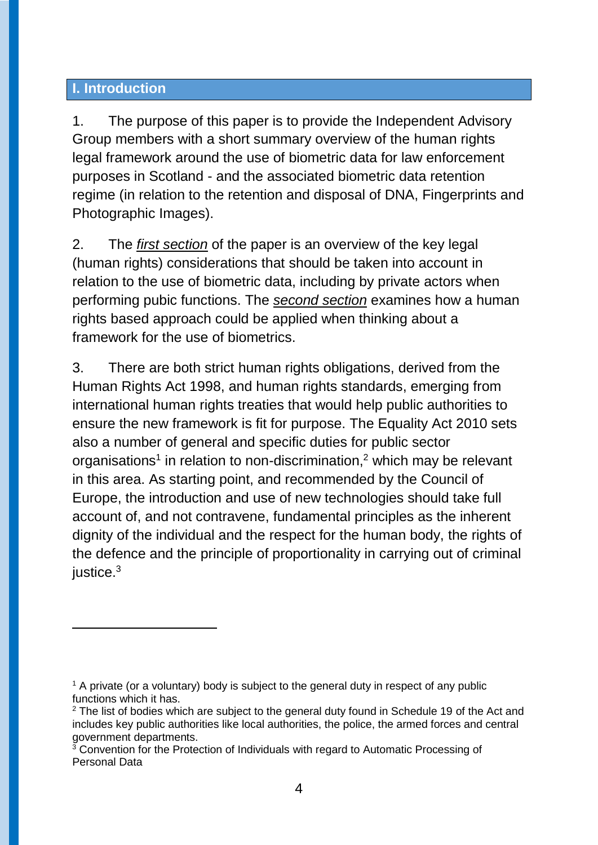#### **I. Introduction**

-

1. The purpose of this paper is to provide the Independent Advisory Group members with a short summary overview of the human rights legal framework around the use of biometric data for law enforcement purposes in Scotland - and the associated biometric data retention regime (in relation to the retention and disposal of DNA, Fingerprints and Photographic Images).

2. The *first section* of the paper is an overview of the key legal (human rights) considerations that should be taken into account in relation to the use of biometric data, including by private actors when performing pubic functions. The *second section* examines how a human rights based approach could be applied when thinking about a framework for the use of biometrics.

3. There are both strict human rights obligations, derived from the Human Rights Act 1998, and human rights standards, emerging from international human rights treaties that would help public authorities to ensure the new framework is fit for purpose. The Equality Act 2010 sets also a number of general and specific duties for public sector organisations<sup>1</sup> in relation to non-discrimination,<sup>2</sup> which may be relevant in this area. As starting point, and recommended by the Council of Europe, the introduction and use of new technologies should take full account of, and not contravene, fundamental principles as the inherent dignity of the individual and the respect for the human body, the rights of the defence and the principle of proportionality in carrying out of criminal justice.<sup>3</sup>

 $1$  A private (or a voluntary) body is subject to the general duty in respect of any public functions which it has.

<sup>&</sup>lt;sup>2</sup> The list of bodies which are subject to the general duty found in Schedule 19 of the Act and includes key public authorities like local authorities, the police, the armed forces and central government departments.

 $3$  Convention for the Protection of Individuals with regard to Automatic Processing of Personal Data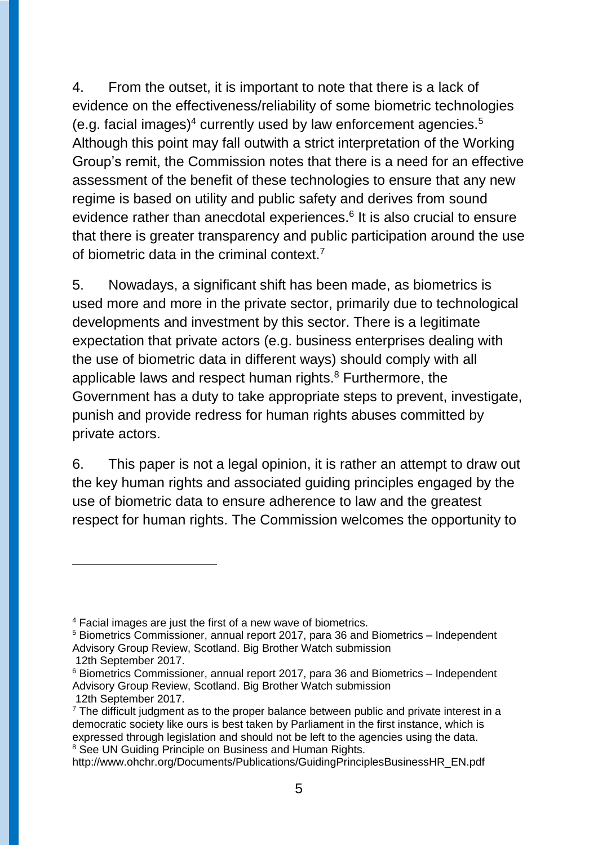4. From the outset, it is important to note that there is a lack of evidence on the effectiveness/reliability of some biometric technologies (e.g. facial images) $4$  currently used by law enforcement agencies. $5$ Although this point may fall outwith a strict interpretation of the Working Group's remit, the Commission notes that there is a need for an effective assessment of the benefit of these technologies to ensure that any new regime is based on utility and public safety and derives from sound evidence rather than anecdotal experiences.<sup>6</sup> It is also crucial to ensure that there is greater transparency and public participation around the use of biometric data in the criminal context.<sup>7</sup>

5. Nowadays, a significant shift has been made, as biometrics is used more and more in the private sector, primarily due to technological developments and investment by this sector. There is a legitimate expectation that private actors (e.g. business enterprises dealing with the use of biometric data in different ways) should comply with all applicable laws and respect human rights. <sup>8</sup> Furthermore, the Government has a duty to take appropriate steps to prevent, investigate, punish and provide redress for human rights abuses committed by private actors.

6. This paper is not a legal opinion, it is rather an attempt to draw out the key human rights and associated guiding principles engaged by the use of biometric data to ensure adherence to law and the greatest respect for human rights. The Commission welcomes the opportunity to

<sup>4</sup> Facial images are just the first of a new wave of biometrics.

<sup>5</sup> Biometrics Commissioner, annual report 2017, para 36 and Biometrics – Independent Advisory Group Review, Scotland. Big Brother Watch submission

<sup>12</sup>th September 2017.

<sup>6</sup> Biometrics Commissioner, annual report 2017, para 36 and Biometrics – Independent Advisory Group Review, Scotland. Big Brother Watch submission 12th September 2017.

 $<sup>7</sup>$  The difficult judgment as to the proper balance between public and private interest in a</sup> democratic society like ours is best taken by Parliament in the first instance, which is expressed through legislation and should not be left to the agencies using the data. <sup>8</sup> See UN Guiding Principle on Business and Human Rights.

http://www.ohchr.org/Documents/Publications/GuidingPrinciplesBusinessHR\_EN.pdf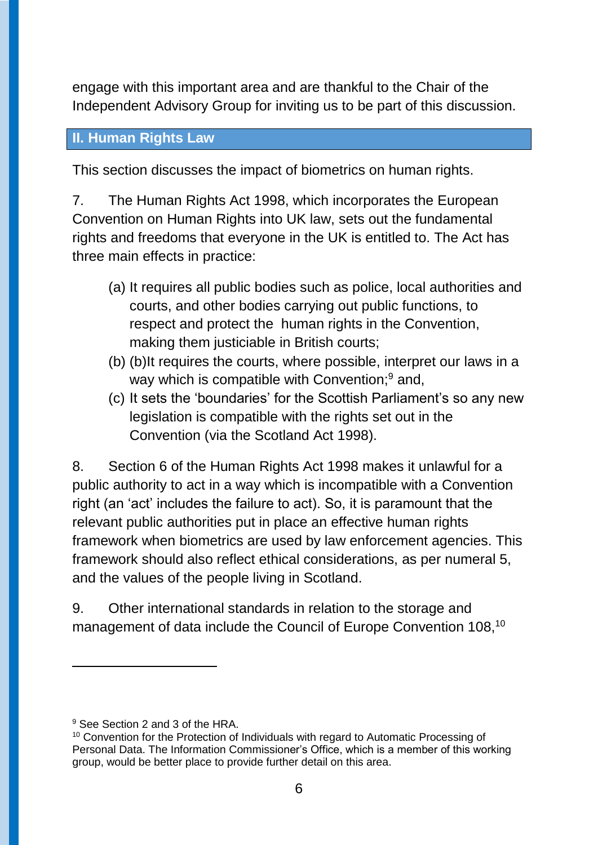engage with this important area and are thankful to the Chair of the Independent Advisory Group for inviting us to be part of this discussion.

#### **II. Human Rights Law**

This section discusses the impact of biometrics on human rights.

7. The Human Rights Act 1998, which incorporates the European Convention on Human Rights into UK law, sets out the fundamental rights and freedoms that everyone in the UK is entitled to. The Act has three main effects in practice:

- (a) It requires all public bodies such as police, local authorities and courts, and other bodies carrying out public functions, to respect and protect the human rights in the Convention, making them justiciable in British courts;
- (b) (b)It requires the courts, where possible, interpret our laws in a way which is compatible with Convention:<sup>9</sup> and,
- (c) It sets the 'boundaries' for the Scottish Parliament's so any new legislation is compatible with the rights set out in the Convention (via the Scotland Act 1998).

8. Section 6 of the Human Rights Act 1998 makes it unlawful for a public authority to act in a way which is incompatible with a Convention right (an 'act' includes the failure to act). So, it is paramount that the relevant public authorities put in place an effective human rights framework when biometrics are used by law enforcement agencies. This framework should also reflect ethical considerations, as per numeral 5, and the values of the people living in Scotland.

9. Other international standards in relation to the storage and management of data include the Council of Europe Convention 108,<sup>10</sup>

<sup>&</sup>lt;sup>9</sup> See Section 2 and 3 of the HRA.

<sup>&</sup>lt;sup>10</sup> Convention for the Protection of Individuals with regard to Automatic Processing of Personal Data. The Information Commissioner's Office, which is a member of this working group, would be better place to provide further detail on this area.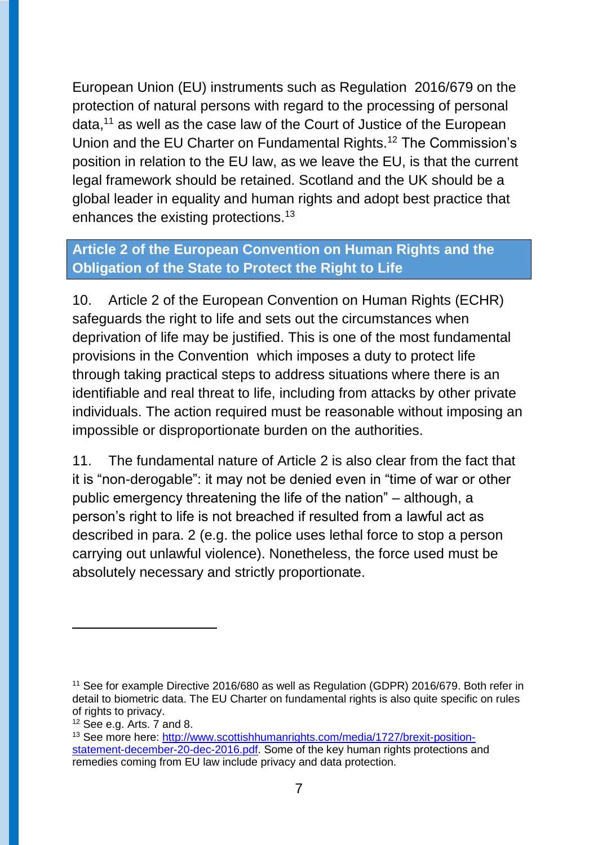European Union (EU) instruments such as Regulation 2016/679 on the protection of natural persons with regard to the processing of personal data,<sup>11</sup> as well as the case law of the Court of Justice of the European Union and the EU Charter on Fundamental Rights.<sup>12</sup> The Commission's position in relation to the EU law, as we leave the EU, is that the current legal framework should be retained. Scotland and the UK should be a global leader in equality and human rights and adopt best practice that enhances the existing protections.<sup>13</sup>

# **Article 2 of the European Convention on Human Rights and the Obligation of the State to Protect the Right to Life**

10. Article 2 of the European Convention on Human Rights (ECHR) safeguards the right to life and sets out the circumstances when deprivation of life may be justified. This is one of the most fundamental provisions in the Convention which imposes a duty to protect life through taking practical steps to address situations where there is an identifiable and real threat to life, including from attacks by other private individuals. The action required must be reasonable without imposing an impossible or disproportionate burden on the authorities.

11. The fundamental nature of Article 2 is also clear from the fact that it is "non-derogable": it may not be denied even in "time of war or other public emergency threatening the life of the nation" – although, a person's right to life is not breached if resulted from a lawful act as described in para. 2 (e.g. the police uses lethal force to stop a person carrying out unlawful violence). Nonetheless, the force used must be absolutely necessary and strictly proportionate.

<sup>&</sup>lt;sup>11</sup> See for example Directive 2016/680 as well as Regulation (GDPR) 2016/679. Both refer in detail to biometric data. The EU Charter on fundamental rights is also quite specific on rules of rights to privacy.

 $12$  See e.g. Arts. 7 and 8.

<sup>13</sup> See more here: [http://www.scottishhumanrights.com/media/1727/brexit-position](http://www.scottishhumanrights.com/media/1727/brexit-position-statement-december-20-dec-2016.pdf)[statement-december-20-dec-2016.pdf.](http://www.scottishhumanrights.com/media/1727/brexit-position-statement-december-20-dec-2016.pdf) Some of the key human rights protections and remedies coming from EU law include privacy and data protection.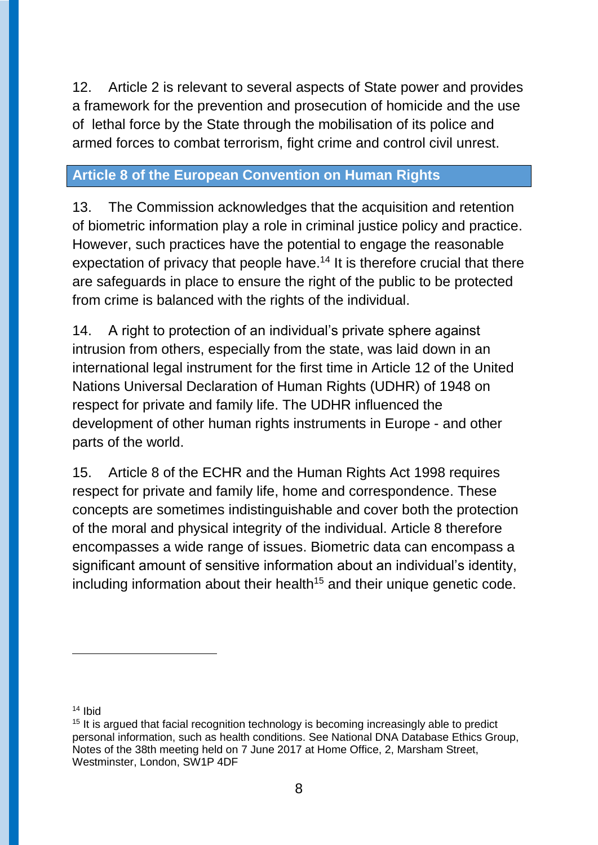12. Article 2 is relevant to several aspects of State power and provides a framework for the prevention and prosecution of homicide and the use of lethal force by the State through the mobilisation of its police and armed forces to combat terrorism, fight crime and control civil unrest.

# **Article 8 of the European Convention on Human Rights**

13. The Commission acknowledges that the acquisition and retention of biometric information play a role in criminal justice policy and practice. However, such practices have the potential to engage the reasonable expectation of privacy that people have.<sup>14</sup> It is therefore crucial that there are safeguards in place to ensure the right of the public to be protected from crime is balanced with the rights of the individual.

14. A right to protection of an individual's private sphere against intrusion from others, especially from the state, was laid down in an international legal instrument for the first time in Article 12 of the United Nations Universal Declaration of Human Rights (UDHR) of 1948 on respect for private and family life. The UDHR influenced the development of other human rights instruments in Europe - and other parts of the world.

15. Article 8 of the ECHR and the Human Rights Act 1998 requires respect for private and family life, home and correspondence. These concepts are sometimes indistinguishable and cover both the protection of the moral and physical integrity of the individual. Article 8 therefore encompasses a wide range of issues. Biometric data can encompass a significant amount of sensitive information about an individual's identity, including information about their health<sup>15</sup> and their unique genetic code.

<sup>14</sup> Ibid

 $\overline{a}$ 

<sup>&</sup>lt;sup>15</sup> It is argued that facial recognition technology is becoming increasingly able to predict personal information, such as health conditions. See National DNA Database Ethics Group, Notes of the 38th meeting held on 7 June 2017 at Home Office, 2, Marsham Street, Westminster, London, SW1P 4DF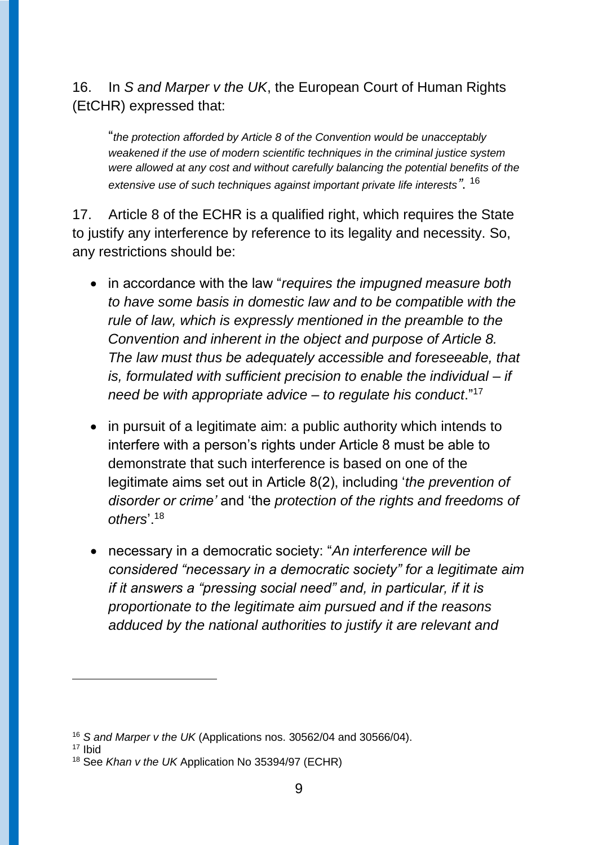# 16. In *S and Marper v the UK*, the European Court of Human Rights (EtCHR) expressed that:

"*the protection afforded by Article 8 of the Convention would be unacceptably weakened if the use of modern scientific techniques in the criminal justice system were allowed at any cost and without carefully balancing the potential benefits of the extensive use of such techniques against important private life interests"*. 16

17. Article 8 of the ECHR is a qualified right, which requires the State to justify any interference by reference to its legality and necessity. So, any restrictions should be:

- in accordance with the law "*requires the impugned measure both to have some basis in domestic law and to be compatible with the rule of law, which is expressly mentioned in the preamble to the Convention and inherent in the object and purpose of Article 8. The law must thus be adequately accessible and foreseeable, that is, formulated with sufficient precision to enable the individual – if need be with appropriate advice – to regulate his conduct*."<sup>17</sup>
- in pursuit of a legitimate aim: a public authority which intends to interfere with a person's rights under Article 8 must be able to demonstrate that such interference is based on one of the legitimate aims set out in Article 8(2), including '*the prevention of disorder or crime'* and 'the *protection of the rights and freedoms of others*'.<sup>18</sup>
- necessary in a democratic society: "*An interference will be considered "necessary in a democratic society" for a legitimate aim if it answers a "pressing social need" and, in particular, if it is proportionate to the legitimate aim pursued and if the reasons adduced by the national authorities to justify it are relevant and*

<sup>17</sup> Ibid

<sup>16</sup> *S and Marper v the UK* (Applications nos. 30562/04 and 30566/04).

<sup>18</sup> See *Khan v the UK* Application No 35394/97 (ECHR)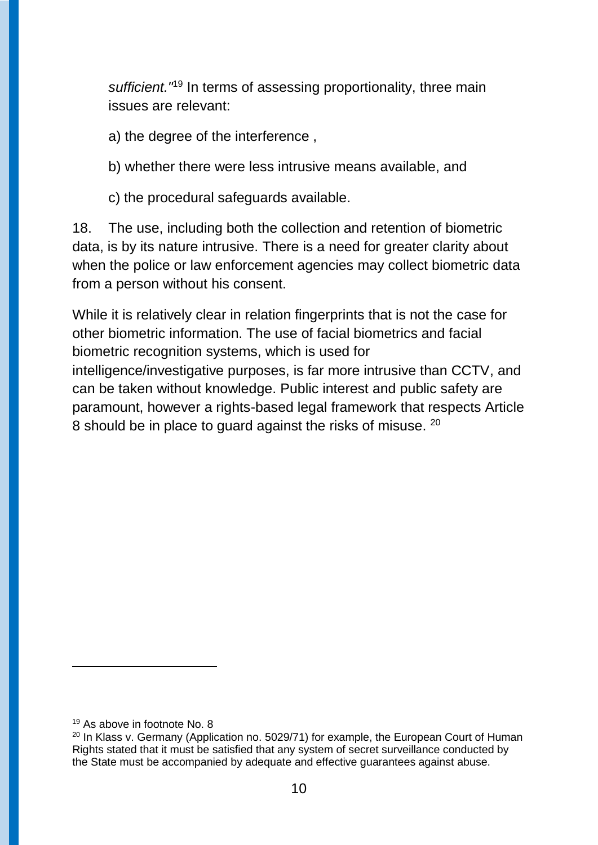sufficient.<sup>"19</sup> In terms of assessing proportionality, three main issues are relevant:

a) the degree of the interference ,

- b) whether there were less intrusive means available, and
- c) the procedural safeguards available.

18. The use, including both the collection and retention of biometric data, is by its nature intrusive. There is a need for greater clarity about when the police or law enforcement agencies may collect biometric data from a person without his consent.

While it is relatively clear in relation fingerprints that is not the case for other biometric information. The use of facial biometrics and facial biometric recognition systems, which is used for intelligence/investigative purposes, is far more intrusive than CCTV, and can be taken without knowledge. Public interest and public safety are paramount, however a rights-based legal framework that respects Article 8 should be in place to guard against the risks of misuse.  $20$ 

<sup>19</sup> As above in footnote No. 8

<sup>&</sup>lt;sup>20</sup> In Klass v. Germany (Application no. 5029/71) for example, the European Court of Human Rights stated that it must be satisfied that any system of secret surveillance conducted by the State must be accompanied by adequate and effective guarantees against abuse.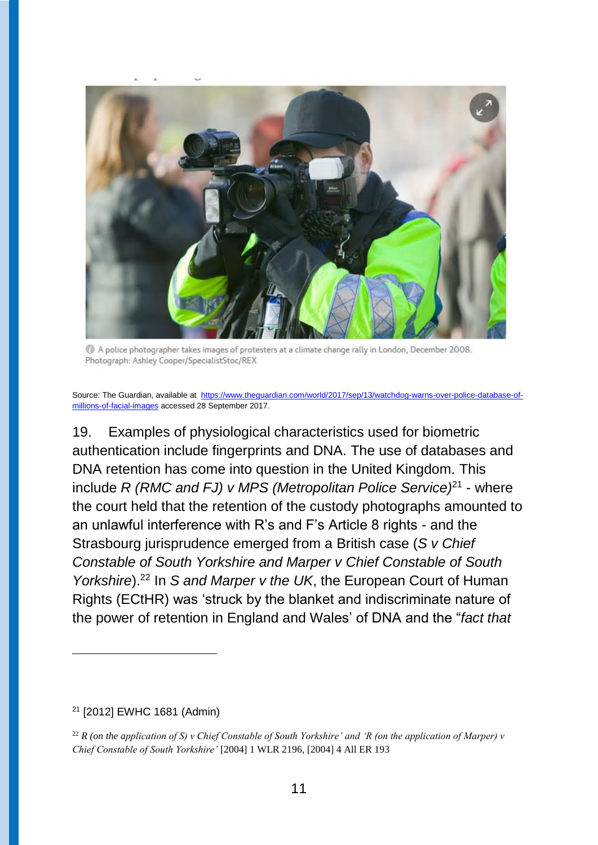

A police photographer takes images of protesters at a climate change rally in London. December 2008. Photograph: Ashley Cooper/SpecialistStoc/REX

Source: The Guardian, available at [https://www.theguardian.com/world/2017/sep/13/watchdog-warns-over-police-database-of](https://www.theguardian.com/world/2017/sep/13/watchdog-warns-over-police-database-of-millions-of-facial-images)[millions-of-facial-images](https://www.theguardian.com/world/2017/sep/13/watchdog-warns-over-police-database-of-millions-of-facial-images) accessed 28 September 2017.

19. Examples of physiological characteristics used for biometric authentication include fingerprints and DNA. The use of databases and DNA retention has come into question in the United Kingdom. This include *R (RMC and FJ) v MPS (Metropolitan Police Service)*<sup>21</sup> - where the court held that the retention of the custody photographs amounted to an unlawful interference with R's and F's Article 8 rights - and the Strasbourg jurisprudence emerged from a British case (*S v Chief Constable of South Yorkshire and Marper v Chief Constable of South Yorkshire*).<sup>22</sup> In *S and Marper v the UK*, the European Court of Human Rights (ECtHR) was 'struck by the blanket and indiscriminate nature of the power of retention in England and Wales' of DNA and the "*fact that* 

#### <sup>21</sup> [2012] EWHC 1681 (Admin)

 $\overline{a}$ 

<sup>&</sup>lt;sup>22</sup> *R* (on the application of S) v Chief Constable of South Yorkshire' and 'R (on the application of Marper) v *Chief Constable of South Yorkshire'* [2004] 1 WLR 2196, [2004] 4 All ER 193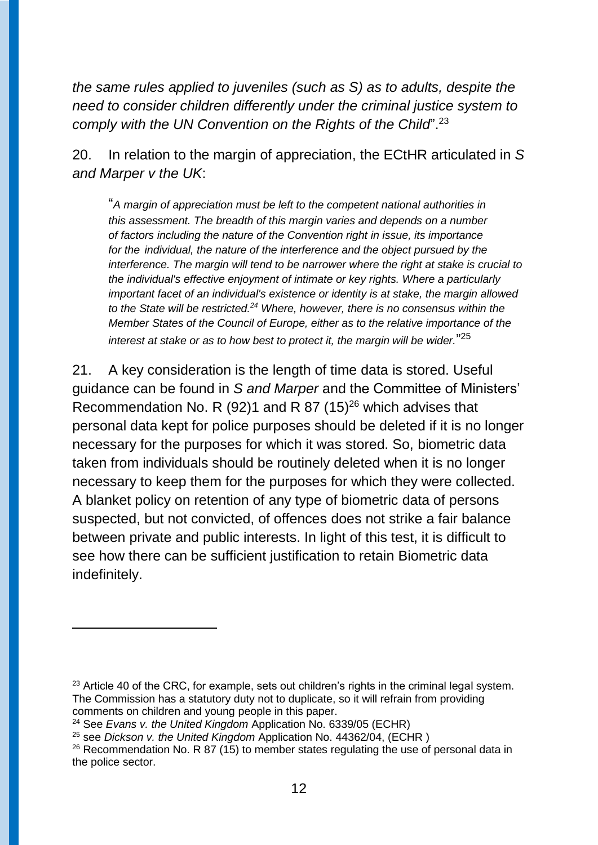*the same rules applied to juveniles (such as S) as to adults, despite the need to consider children differently under the criminal justice system to comply with the UN Convention on the Rights of the Child*".<sup>23</sup>

20. In relation to the margin of appreciation, the ECtHR articulated in *S and Marper v the UK*:

"*A margin of appreciation must be left to the competent national authorities in this assessment. The breadth of this margin varies and depends on a number of factors including the nature of the Convention right in issue, its importance for the individual, the nature of the interference and the object pursued by the interference. The margin will tend to be narrower where the right at stake is crucial to the individual's effective enjoyment of intimate or key rights. Where a particularly important facet of an individual's existence or identity is at stake, the margin allowed to the State will be restricted.<sup>24</sup> Where, however, there is no consensus within the Member States of the Council of Europe, either as to the relative importance of the interest at stake or as to how best to protect it, the margin will be wider.*" 25

21. A key consideration is the length of time data is stored. Useful guidance can be found in *S and Marper* and the Committee of Ministers' Recommendation No. R (92)1 and R 87 (15)<sup>26</sup> which advises that personal data kept for police purposes should be deleted if it is no longer necessary for the purposes for which it was stored. So, biometric data taken from individuals should be routinely deleted when it is no longer necessary to keep them for the purposes for which they were collected. A blanket policy on retention of any type of biometric data of persons suspected, but not convicted, of offences does not strike a fair balance between private and public interests. In light of this test, it is difficult to see how there can be sufficient justification to retain Biometric data indefinitely.

 $23$  Article 40 of the CRC, for example, sets out children's rights in the criminal legal system. The Commission has a statutory duty not to duplicate, so it will refrain from providing comments on children and young people in this paper.

<sup>24</sup> See *Evans v. the United Kingdom* Application No. 6339/05 (ECHR)

<sup>25</sup> see *Dickson v. the United Kingdom* Application No. 44362/04, (ECHR )

<sup>&</sup>lt;sup>26</sup> Recommendation No. R 87 (15) to member states regulating the use of personal data in the police sector.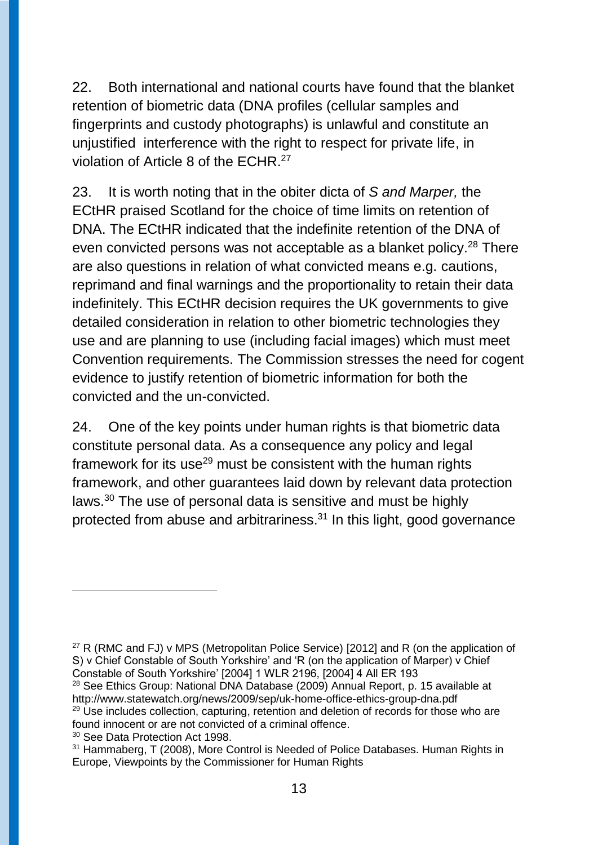22. Both international and national courts have found that the blanket retention of biometric data (DNA profiles (cellular samples and fingerprints and custody photographs) is unlawful and constitute an unjustified interference with the right to respect for private life, in violation of Article 8 of the ECHR.<sup>27</sup>

23. It is worth noting that in the obiter dicta of *S and Marper,* the ECtHR praised Scotland for the choice of time limits on retention of DNA. The ECtHR indicated that the indefinite retention of the DNA of even convicted persons was not acceptable as a blanket policy.<sup>28</sup> There are also questions in relation of what convicted means e.g. cautions, reprimand and final warnings and the proportionality to retain their data indefinitely. This ECtHR decision requires the UK governments to give detailed consideration in relation to other biometric technologies they use and are planning to use (including facial images) which must meet Convention requirements. The Commission stresses the need for cogent evidence to justify retention of biometric information for both the convicted and the un-convicted.

24. One of the key points under human rights is that biometric data constitute personal data. As a consequence any policy and legal framework for its use $29$  must be consistent with the human rights framework, and other guarantees laid down by relevant data protection laws.<sup>30</sup> The use of personal data is sensitive and must be highly protected from abuse and arbitrariness.<sup>31</sup> In this light, good governance

<sup>27</sup> R (RMC and FJ) v MPS (Metropolitan Police Service) [2012] and R (on the application of S) v Chief Constable of South Yorkshire' and 'R (on the application of Marper) v Chief Constable of South Yorkshire' [2004] 1 WLR 2196, [2004] 4 All ER 193

 $\overline{a}$ 

<sup>28</sup> See Ethics Group: National DNA Database (2009) Annual Report, p. 15 available at http://www.statewatch.org/news/2009/sep/uk-home-office-ethics-group-dna.pdf <sup>29</sup> Use includes collection, capturing, retention and deletion of records for those who are

found innocent or are not convicted of a criminal offence.

<sup>&</sup>lt;sup>30</sup> See Data Protection Act 1998.

<sup>31</sup> Hammaberg, T (2008), More Control is Needed of Police Databases. Human Rights in Europe, Viewpoints by the Commissioner for Human Rights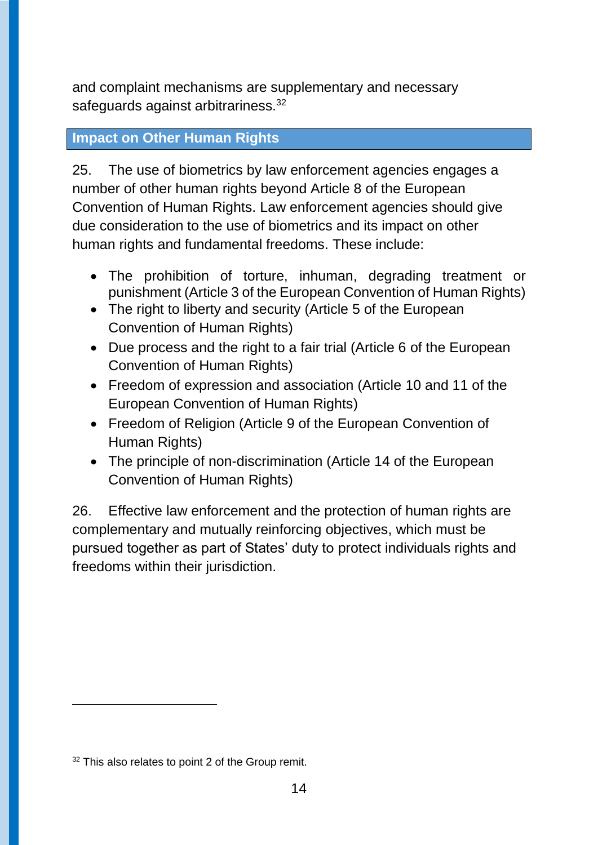and complaint mechanisms are supplementary and necessary safeguards against arbitrariness.<sup>32</sup>

### **Impact on Other Human Rights**

25. The use of biometrics by law enforcement agencies engages a number of other human rights beyond Article 8 of the European Convention of Human Rights. Law enforcement agencies should give due consideration to the use of biometrics and its impact on other human rights and fundamental freedoms. These include:

- The prohibition of torture, inhuman, degrading treatment or punishment (Article 3 of the European Convention of Human Rights)
- The right to liberty and security (Article 5 of the European Convention of Human Rights)
- Due process and the right to a fair trial (Article 6 of the European Convention of Human Rights)
- Freedom of expression and association (Article 10 and 11 of the European Convention of Human Rights)
- Freedom of Religion (Article 9 of the European Convention of Human Rights)
- The principle of non-discrimination (Article 14 of the European Convention of Human Rights)

26. Effective law enforcement and the protection of human rights are complementary and mutually reinforcing objectives, which must be pursued together as part of States' duty to protect individuals rights and freedoms within their jurisdiction.

 $\overline{a}$ 

<sup>&</sup>lt;sup>32</sup> This also relates to point 2 of the Group remit.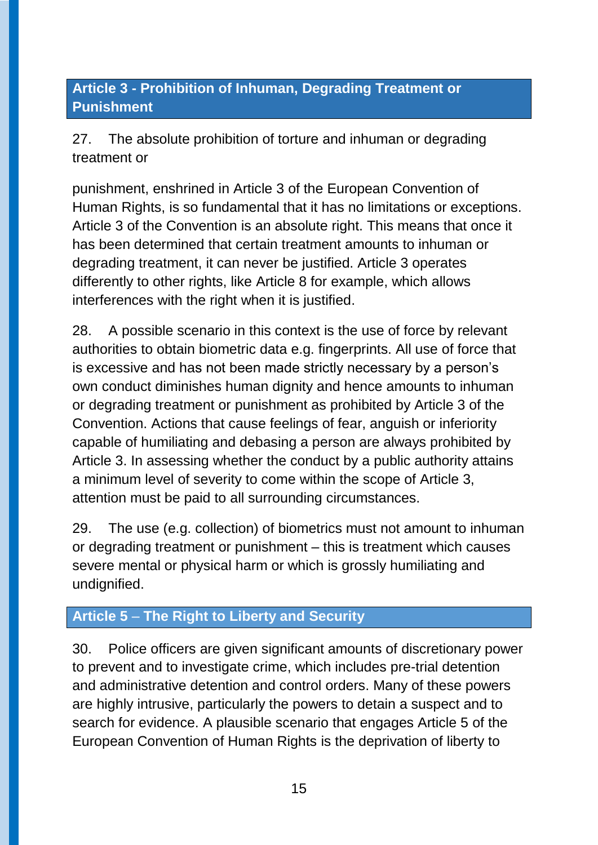# **Article 3 - Prohibition of Inhuman, Degrading Treatment or Punishment**

27. The absolute prohibition of torture and inhuman or degrading treatment or

punishment, enshrined in Article 3 of the European Convention of Human Rights, is so fundamental that it has no limitations or exceptions. Article 3 of the Convention is an absolute right. This means that once it has been determined that certain treatment amounts to inhuman or degrading treatment, it can never be justified. Article 3 operates differently to other rights, like Article 8 for example, which allows interferences with the right when it is justified.

28. A possible scenario in this context is the use of force by relevant authorities to obtain biometric data e.g. fingerprints. All use of force that is excessive and has not been made strictly necessary by a person's own conduct diminishes human dignity and hence amounts to inhuman or degrading treatment or punishment as prohibited by Article 3 of the Convention. Actions that cause feelings of fear, anguish or inferiority capable of humiliating and debasing a person are always prohibited by Article 3. In assessing whether the conduct by a public authority attains a minimum level of severity to come within the scope of Article 3, attention must be paid to all surrounding circumstances.

29. The use (e.g. collection) of biometrics must not amount to inhuman or degrading treatment or punishment – this is treatment which causes severe mental or physical harm or which is grossly humiliating and undignified.

# **Article 5** – **The Right to Liberty and Security**

30. Police officers are given significant amounts of discretionary power to prevent and to investigate crime, which includes pre-trial detention and administrative detention and control orders. Many of these powers are highly intrusive, particularly the powers to detain a suspect and to search for evidence. A plausible scenario that engages Article 5 of the European Convention of Human Rights is the deprivation of liberty to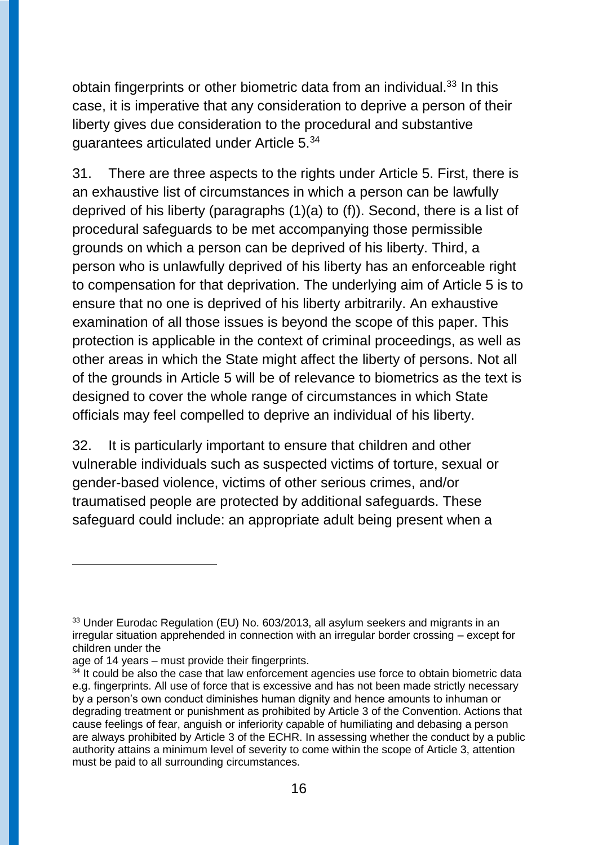obtain fingerprints or other biometric data from an individual.<sup>33</sup> In this case, it is imperative that any consideration to deprive a person of their liberty gives due consideration to the procedural and substantive guarantees articulated under Article 5.<sup>34</sup>

31. There are three aspects to the rights under Article 5. First, there is an exhaustive list of circumstances in which a person can be lawfully deprived of his liberty (paragraphs (1)(a) to (f)). Second, there is a list of procedural safeguards to be met accompanying those permissible grounds on which a person can be deprived of his liberty. Third, a person who is unlawfully deprived of his liberty has an enforceable right to compensation for that deprivation. The underlying aim of Article 5 is to ensure that no one is deprived of his liberty arbitrarily. An exhaustive examination of all those issues is beyond the scope of this paper. This protection is applicable in the context of criminal proceedings, as well as other areas in which the State might affect the liberty of persons. Not all of the grounds in Article 5 will be of relevance to biometrics as the text is designed to cover the whole range of circumstances in which State officials may feel compelled to deprive an individual of his liberty.

32. It is particularly important to ensure that children and other vulnerable individuals such as suspected victims of torture, sexual or gender-based violence, victims of other serious crimes, and/or traumatised people are protected by additional safeguards. These safeguard could include: an appropriate adult being present when a

<sup>&</sup>lt;sup>33</sup> Under Eurodac Regulation (EU) No. 603/2013, all asylum seekers and migrants in an irregular situation apprehended in connection with an irregular border crossing – except for children under the

age of 14 years – must provide their fingerprints.

 $34$  It could be also the case that law enforcement agencies use force to obtain biometric data e.g. fingerprints. All use of force that is excessive and has not been made strictly necessary by a person's own conduct diminishes human dignity and hence amounts to inhuman or degrading treatment or punishment as prohibited by Article 3 of the Convention. Actions that cause feelings of fear, anguish or inferiority capable of humiliating and debasing a person are always prohibited by Article 3 of the ECHR. In assessing whether the conduct by a public authority attains a minimum level of severity to come within the scope of Article 3, attention must be paid to all surrounding circumstances.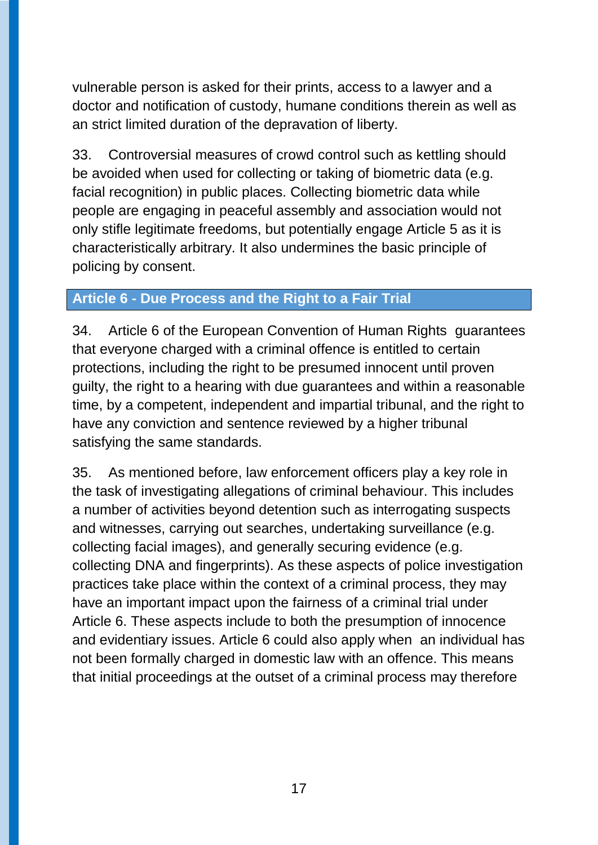vulnerable person is asked for their prints, access to a lawyer and a doctor and notification of custody, humane conditions therein as well as an strict limited duration of the depravation of liberty.

33. Controversial measures of crowd control such as kettling should be avoided when used for collecting or taking of biometric data (e.g. facial recognition) in public places. Collecting biometric data while people are engaging in peaceful assembly and association would not only stifle legitimate freedoms, but potentially engage Article 5 as it is characteristically arbitrary. It also undermines the basic principle of policing by consent.

### **Article 6 - Due Process and the Right to a Fair Trial**

34. Article 6 of the European Convention of Human Rights guarantees that everyone charged with a criminal offence is entitled to certain protections, including the right to be presumed innocent until proven guilty, the right to a hearing with due guarantees and within a reasonable time, by a competent, independent and impartial tribunal, and the right to have any conviction and sentence reviewed by a higher tribunal satisfying the same standards.

35. As mentioned before, law enforcement officers play a key role in the task of investigating allegations of criminal behaviour. This includes a number of activities beyond detention such as interrogating suspects and witnesses, carrying out searches, undertaking surveillance (e.g. collecting facial images), and generally securing evidence (e.g. collecting DNA and fingerprints). As these aspects of police investigation practices take place within the context of a criminal process, they may have an important impact upon the fairness of a criminal trial under Article 6. These aspects include to both the presumption of innocence and evidentiary issues. Article 6 could also apply when an individual has not been formally charged in domestic law with an offence. This means that initial proceedings at the outset of a criminal process may therefore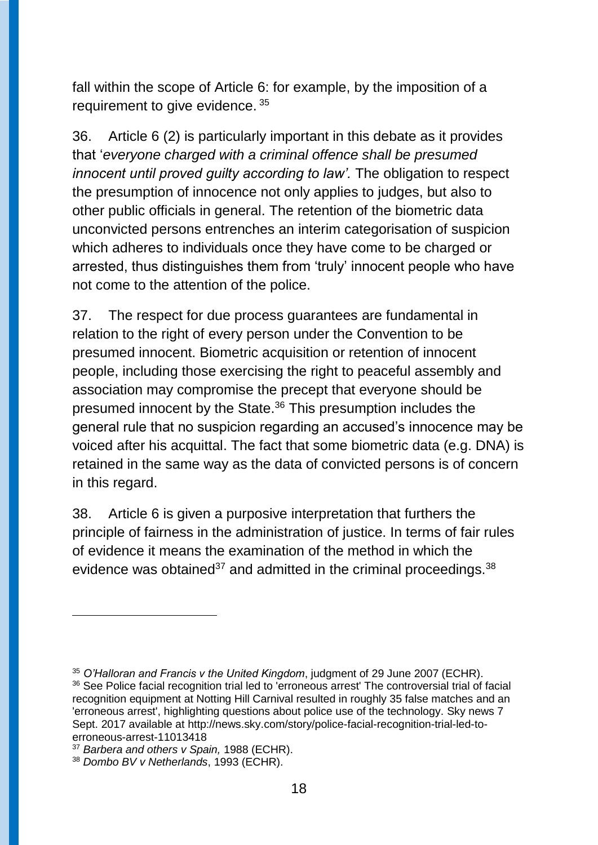fall within the scope of Article 6: for example, by the imposition of a requirement to give evidence. 35

36. Article 6 (2) is particularly important in this debate as it provides that '*everyone charged with a criminal offence shall be presumed innocent until proved guilty according to law'.* The obligation to respect the presumption of innocence not only applies to judges, but also to other public officials in general. The retention of the biometric data unconvicted persons entrenches an interim categorisation of suspicion which adheres to individuals once they have come to be charged or arrested, thus distinguishes them from 'truly' innocent people who have not come to the attention of the police.

37. The respect for due process guarantees are fundamental in relation to the right of every person under the Convention to be presumed innocent. Biometric acquisition or retention of innocent people, including those exercising the right to peaceful assembly and association may compromise the precept that everyone should be presumed innocent by the State. <sup>36</sup> This presumption includes the general rule that no suspicion regarding an accused's innocence may be voiced after his acquittal. The fact that some biometric data (e.g. DNA) is retained in the same way as the data of convicted persons is of concern in this regard.

38. Article 6 is given a purposive interpretation that furthers the principle of fairness in the administration of justice. In terms of fair rules of evidence it means the examination of the method in which the evidence was obtained<sup>37</sup> and admitted in the criminal proceedings.<sup>38</sup>

<sup>35</sup> *O'Halloran and Francis v the United Kingdom*, judgment of 29 June 2007 (ECHR). <sup>36</sup> See Police facial recognition trial led to 'erroneous arrest' The controversial trial of facial recognition equipment at Notting Hill Carnival resulted in roughly 35 false matches and an 'erroneous arrest', highlighting questions about police use of the technology. Sky news 7 Sept. 2017 available at http://news.sky.com/story/police-facial-recognition-trial-led-toerroneous-arrest-11013418

<sup>37</sup> *Barbera and others v Spain,* 1988 (ECHR).

<sup>38</sup> *Dombo BV v Netherlands*, 1993 (ECHR).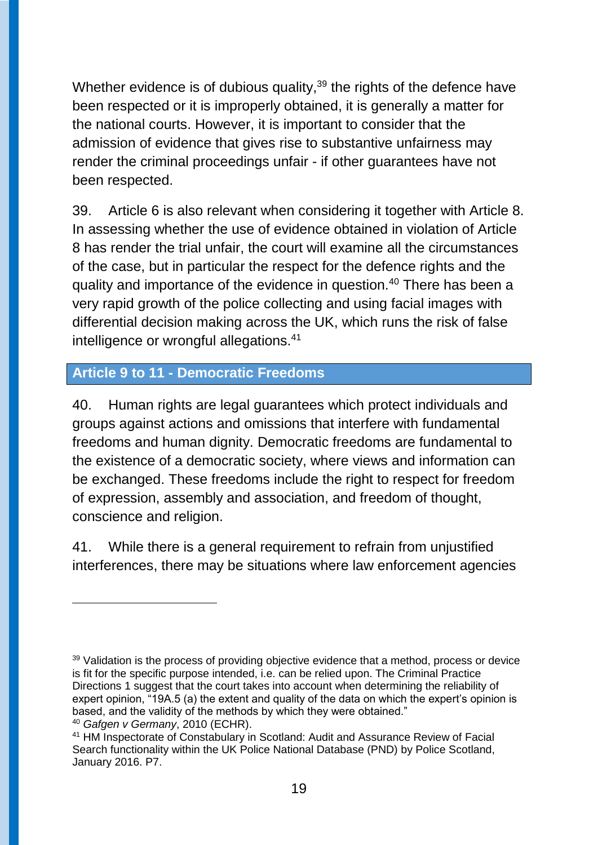Whether evidence is of dubious quality,<sup>39</sup> the rights of the defence have been respected or it is improperly obtained, it is generally a matter for the national courts. However, it is important to consider that the admission of evidence that gives rise to substantive unfairness may render the criminal proceedings unfair - if other guarantees have not been respected.

39. Article 6 is also relevant when considering it together with Article 8. In assessing whether the use of evidence obtained in violation of Article 8 has render the trial unfair, the court will examine all the circumstances of the case, but in particular the respect for the defence rights and the quality and importance of the evidence in question.<sup>40</sup> There has been a very rapid growth of the police collecting and using facial images with differential decision making across the UK, which runs the risk of false intelligence or wrongful allegations.<sup>41</sup>

#### **Article 9 to 11 - Democratic Freedoms**

 $\overline{a}$ 

40. Human rights are legal guarantees which protect individuals and groups against actions and omissions that interfere with fundamental freedoms and human dignity. Democratic freedoms are fundamental to the existence of a democratic society, where views and information can be exchanged. These freedoms include the right to respect for freedom of expression, assembly and association, and freedom of thought, conscience and religion.

41. While there is a general requirement to refrain from unjustified interferences, there may be situations where law enforcement agencies

<sup>&</sup>lt;sup>39</sup> Validation is the process of providing objective evidence that a method, process or device is fit for the specific purpose intended, i.e. can be relied upon. The Criminal Practice Directions 1 suggest that the court takes into account when determining the reliability of expert opinion, "19A.5 (a) the extent and quality of the data on which the expert's opinion is based, and the validity of the methods by which they were obtained." <sup>40</sup> *Gafgen v Germany*, 2010 (ECHR).

<sup>41</sup> HM Inspectorate of Constabulary in Scotland: Audit and Assurance Review of Facial Search functionality within the UK Police National Database (PND) by Police Scotland, January 2016. P7.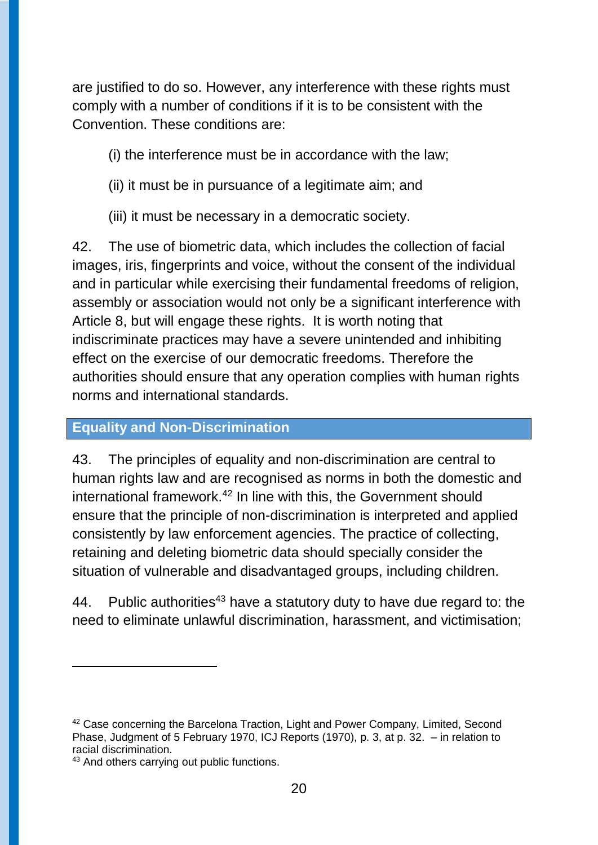are justified to do so. However, any interference with these rights must comply with a number of conditions if it is to be consistent with the Convention. These conditions are:

(i) the interference must be in accordance with the law;

(ii) it must be in pursuance of a legitimate aim; and

(iii) it must be necessary in a democratic society.

42. The use of biometric data, which includes the collection of facial images, iris, fingerprints and voice, without the consent of the individual and in particular while exercising their fundamental freedoms of religion, assembly or association would not only be a significant interference with Article 8, but will engage these rights. It is worth noting that indiscriminate practices may have a severe unintended and inhibiting effect on the exercise of our democratic freedoms. Therefore the authorities should ensure that any operation complies with human rights norms and international standards.

### **Equality and Non-Discrimination**

43. The principles of equality and non-discrimination are central to human rights law and are recognised as norms in both the domestic and international framework. <sup>42</sup> In line with this, the Government should ensure that the principle of non-discrimination is interpreted and applied consistently by law enforcement agencies. The practice of collecting, retaining and deleting biometric data should specially consider the situation of vulnerable and disadvantaged groups, including children.

44. Public authorities<sup>43</sup> have a statutory duty to have due regard to: the need to eliminate unlawful discrimination, harassment, and victimisation;

<sup>&</sup>lt;sup>42</sup> Case concerning the Barcelona Traction, Light and Power Company, Limited, Second Phase, Judgment of 5 February 1970, ICJ Reports (1970), p. 3, at p. 32. – in relation to racial discrimination.

<sup>43</sup> And others carrying out public functions.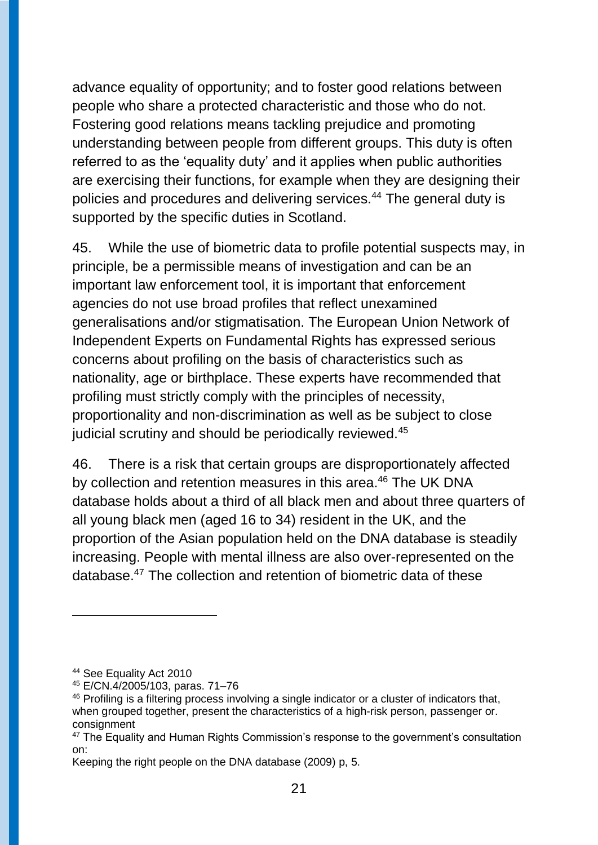advance equality of opportunity; and to foster good relations between people who share a protected characteristic and those who do not. Fostering good relations means tackling prejudice and promoting understanding between people from different groups. This duty is often referred to as the 'equality duty' and it applies when public authorities are exercising their functions, for example when they are designing their policies and procedures and delivering services.<sup>44</sup> The general duty is supported by the specific duties in Scotland.

45. While the use of biometric data to profile potential suspects may, in principle, be a permissible means of investigation and can be an important law enforcement tool, it is important that enforcement agencies do not use broad profiles that reflect unexamined generalisations and/or stigmatisation. The European Union Network of Independent Experts on Fundamental Rights has expressed serious concerns about profiling on the basis of characteristics such as nationality, age or birthplace. These experts have recommended that profiling must strictly comply with the principles of necessity, proportionality and non-discrimination as well as be subject to close judicial scrutiny and should be periodically reviewed.<sup>45</sup>

46. There is a risk that certain groups are disproportionately affected by collection and retention measures in this area. <sup>46</sup> The UK DNA database holds about a third of all black men and about three quarters of all young black men (aged 16 to 34) resident in the UK, and the proportion of the Asian population held on the DNA database is steadily increasing. People with mental illness are also over-represented on the database.<sup>47</sup> The collection and retention of biometric data of these

<sup>44</sup> See Equality Act 2010

<sup>45</sup> E/CN.4/2005/103, paras. 71–76

<sup>&</sup>lt;sup>46</sup> Profiling is a filtering process involving a single indicator or a cluster of indicators that, when grouped together, present the characteristics of a high-risk person, passenger or. consignment

<sup>&</sup>lt;sup>47</sup> The Equality and Human Rights Commission's response to the government's consultation on:

Keeping the right people on the DNA database (2009) p, 5.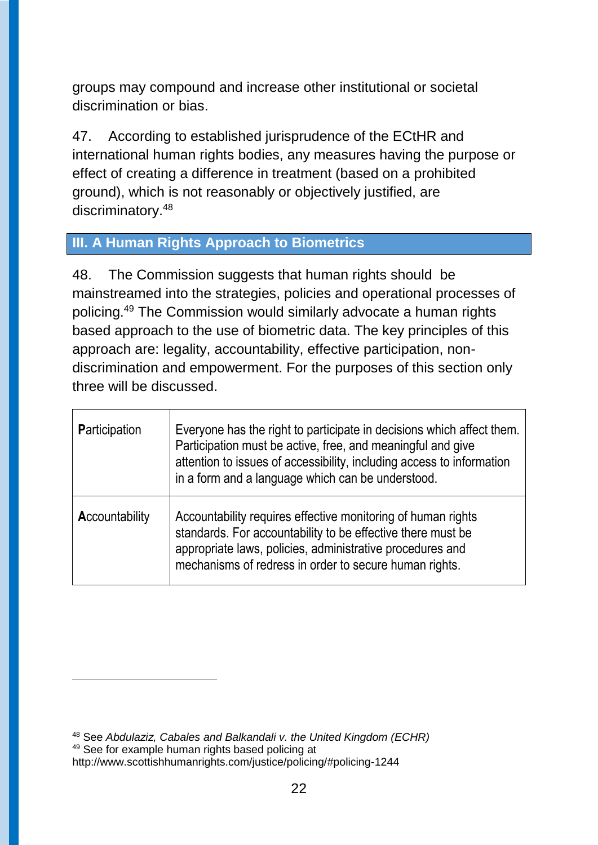groups may compound and increase other institutional or societal discrimination or bias.

47. According to established jurisprudence of the ECtHR and international human rights bodies, any measures having the purpose or effect of creating a difference in treatment (based on a prohibited ground), which is not reasonably or objectively justified, are discriminatory.<sup>48</sup>

# **III. A Human Rights Approach to Biometrics**

48. The Commission suggests that human rights should be mainstreamed into the strategies, policies and operational processes of policing.<sup>49</sup> The Commission would similarly advocate a human rights based approach to the use of biometric data. The key principles of this approach are: legality, accountability, effective participation, nondiscrimination and empowerment. For the purposes of this section only three will be discussed.

| <b>Participation</b> | Everyone has the right to participate in decisions which affect them.<br>Participation must be active, free, and meaningful and give<br>attention to issues of accessibility, including access to information<br>in a form and a language which can be understood. |
|----------------------|--------------------------------------------------------------------------------------------------------------------------------------------------------------------------------------------------------------------------------------------------------------------|
| Accountability       | Accountability requires effective monitoring of human rights<br>standards. For accountability to be effective there must be<br>appropriate laws, policies, administrative procedures and<br>mechanisms of redress in order to secure human rights.                 |

<sup>48</sup> See *Abdulaziz, Cabales and Balkandali v. the United Kingdom (ECHR)* <sup>49</sup> See for example human rights based policing at http://www.scottishhumanrights.com/justice/policing/#policing-1244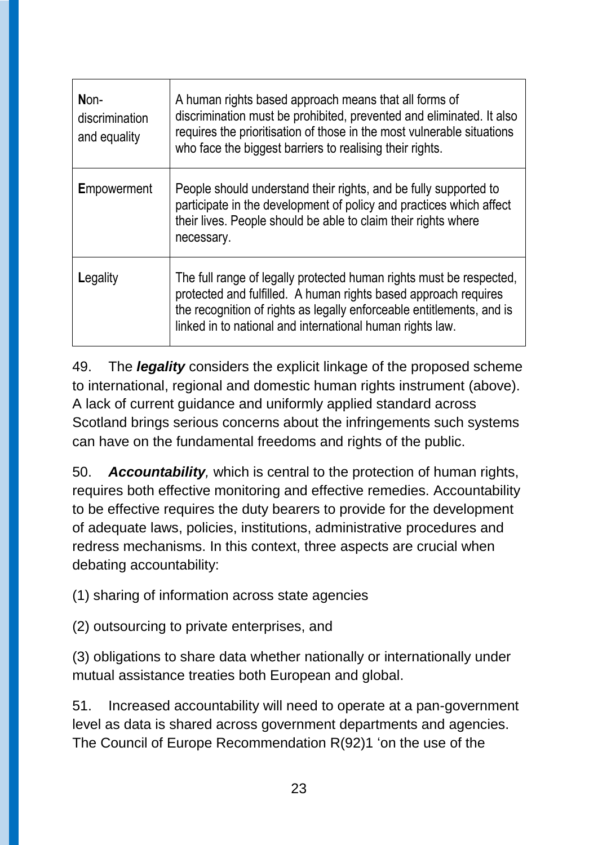| Non-<br>discrimination<br>and equality | A human rights based approach means that all forms of<br>discrimination must be prohibited, prevented and eliminated. It also<br>requires the prioritisation of those in the most vulnerable situations<br>who face the biggest barriers to realising their rights.          |
|----------------------------------------|------------------------------------------------------------------------------------------------------------------------------------------------------------------------------------------------------------------------------------------------------------------------------|
| <b>Empowerment</b>                     | People should understand their rights, and be fully supported to<br>participate in the development of policy and practices which affect<br>their lives. People should be able to claim their rights where<br>necessary.                                                      |
| Legality                               | The full range of legally protected human rights must be respected,<br>protected and fulfilled. A human rights based approach requires<br>the recognition of rights as legally enforceable entitlements, and is<br>linked in to national and international human rights law. |

49. The *legality* considers the explicit linkage of the proposed scheme to international, regional and domestic human rights instrument (above). A lack of current guidance and uniformly applied standard across Scotland brings serious concerns about the infringements such systems can have on the fundamental freedoms and rights of the public.

50. *Accountability,* which is central to the protection of human rights, requires both effective monitoring and effective remedies. Accountability to be effective requires the duty bearers to provide for the development of adequate laws, policies, institutions, administrative procedures and redress mechanisms. In this context, three aspects are crucial when debating accountability:

(1) sharing of information across state agencies

(2) outsourcing to private enterprises, and

(3) obligations to share data whether nationally or internationally under mutual assistance treaties both European and global.

51. Increased accountability will need to operate at a pan-government level as data is shared across government departments and agencies. The Council of Europe Recommendation R(92)1 'on the use of the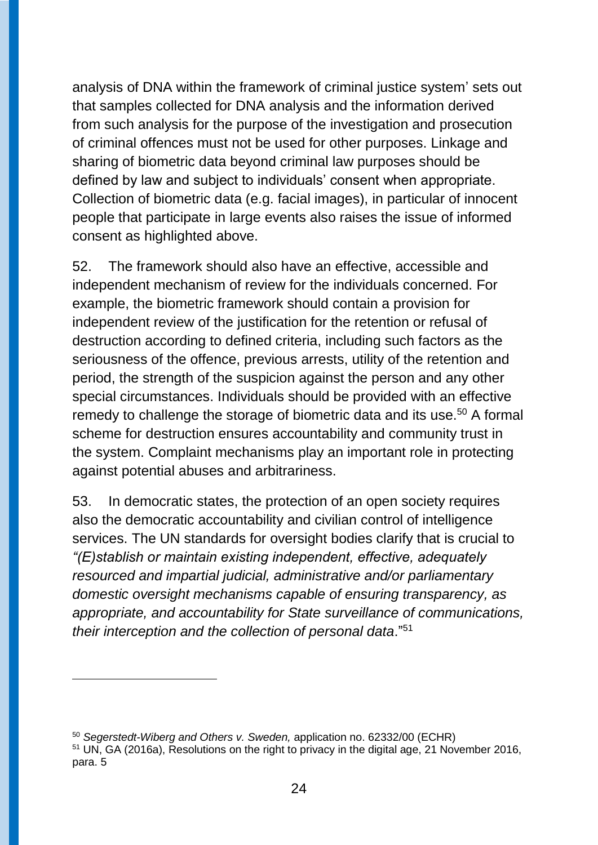analysis of DNA within the framework of criminal justice system' sets out that samples collected for DNA analysis and the information derived from such analysis for the purpose of the investigation and prosecution of criminal offences must not be used for other purposes. Linkage and sharing of biometric data beyond criminal law purposes should be defined by law and subject to individuals' consent when appropriate. Collection of biometric data (e.g. facial images), in particular of innocent people that participate in large events also raises the issue of informed consent as highlighted above.

52. The framework should also have an effective, accessible and independent mechanism of review for the individuals concerned. For example, the biometric framework should contain a provision for independent review of the justification for the retention or refusal of destruction according to defined criteria, including such factors as the seriousness of the offence, previous arrests, utility of the retention and period, the strength of the suspicion against the person and any other special circumstances. Individuals should be provided with an effective remedy to challenge the storage of biometric data and its use.<sup>50</sup> A formal scheme for destruction ensures accountability and community trust in the system. Complaint mechanisms play an important role in protecting against potential abuses and arbitrariness.

53. In democratic states, the protection of an open society requires also the democratic accountability and civilian control of intelligence services. The UN standards for oversight bodies clarify that is crucial to *"(E)stablish or maintain existing independent, effective, adequately resourced and impartial judicial, administrative and/or parliamentary domestic oversight mechanisms capable of ensuring transparency, as appropriate, and accountability for State surveillance of communications, their interception and the collection of personal data*."<sup>51</sup>

<sup>50</sup> *Segerstedt-Wiberg and Others v. Sweden,* application no. 62332/00 (ECHR)

<sup>&</sup>lt;sup>51</sup> UN, GA (2016a), Resolutions on the right to privacy in the digital age, 21 November 2016, para. 5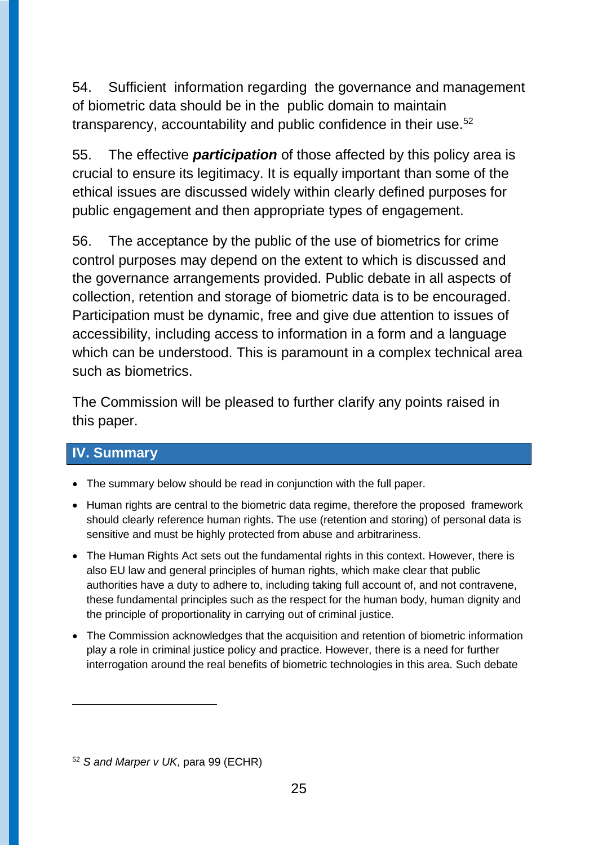54. Sufficient information regarding the governance and management of biometric data should be in the public domain to maintain transparency, accountability and public confidence in their use.<sup>52</sup>

55. The effective *participation* of those affected by this policy area is crucial to ensure its legitimacy. It is equally important than some of the ethical issues are discussed widely within clearly defined purposes for public engagement and then appropriate types of engagement.

56. The acceptance by the public of the use of biometrics for crime control purposes may depend on the extent to which is discussed and the governance arrangements provided. Public debate in all aspects of collection, retention and storage of biometric data is to be encouraged. Participation must be dynamic, free and give due attention to issues of accessibility, including access to information in a form and a language which can be understood. This is paramount in a complex technical area such as biometrics.

The Commission will be pleased to further clarify any points raised in this paper.

## **IV. Summary**

 $\overline{a}$ 

- The summary below should be read in conjunction with the full paper.
- Human rights are central to the biometric data regime, therefore the proposed framework should clearly reference human rights. The use (retention and storing) of personal data is sensitive and must be highly protected from abuse and arbitrariness.
- The Human Rights Act sets out the fundamental rights in this context. However, there is also EU law and general principles of human rights, which make clear that public authorities have a duty to adhere to, including taking full account of, and not contravene, these fundamental principles such as the respect for the human body, human dignity and the principle of proportionality in carrying out of criminal justice.
- The Commission acknowledges that the acquisition and retention of biometric information play a role in criminal justice policy and practice. However, there is a need for further interrogation around the real benefits of biometric technologies in this area. Such debate

<sup>52</sup> *S and Marper v UK*, para 99 (ECHR)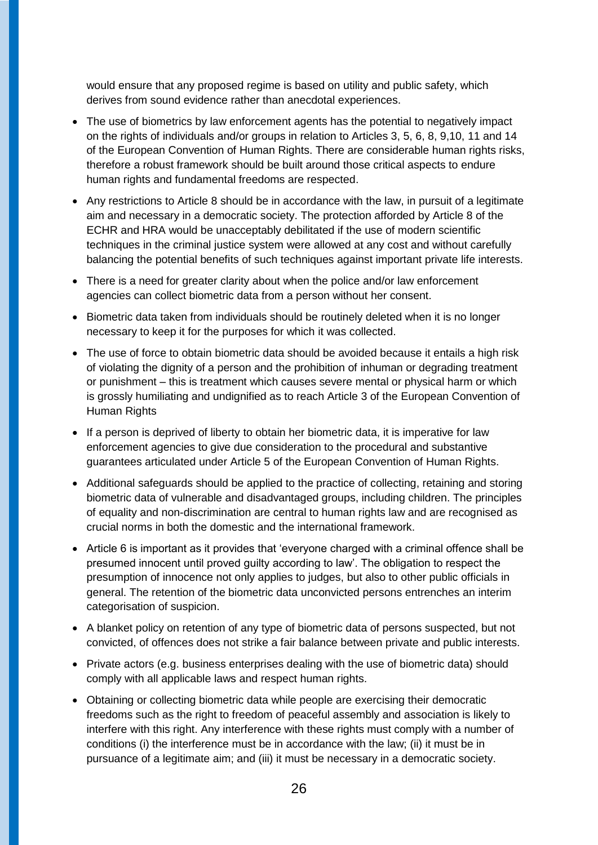would ensure that any proposed regime is based on utility and public safety, which derives from sound evidence rather than anecdotal experiences.

- The use of biometrics by law enforcement agents has the potential to negatively impact on the rights of individuals and/or groups in relation to Articles 3, 5, 6, 8, 9,10, 11 and 14 of the European Convention of Human Rights. There are considerable human rights risks, therefore a robust framework should be built around those critical aspects to endure human rights and fundamental freedoms are respected.
- Any restrictions to Article 8 should be in accordance with the law, in pursuit of a legitimate aim and necessary in a democratic society. The protection afforded by Article 8 of the ECHR and HRA would be unacceptably debilitated if the use of modern scientific techniques in the criminal justice system were allowed at any cost and without carefully balancing the potential benefits of such techniques against important private life interests.
- There is a need for greater clarity about when the police and/or law enforcement agencies can collect biometric data from a person without her consent.
- Biometric data taken from individuals should be routinely deleted when it is no longer necessary to keep it for the purposes for which it was collected.
- The use of force to obtain biometric data should be avoided because it entails a high risk of violating the dignity of a person and the prohibition of inhuman or degrading treatment or punishment – this is treatment which causes severe mental or physical harm or which is grossly humiliating and undignified as to reach Article 3 of the European Convention of Human Rights
- If a person is deprived of liberty to obtain her biometric data, it is imperative for law enforcement agencies to give due consideration to the procedural and substantive guarantees articulated under Article 5 of the European Convention of Human Rights.
- Additional safeguards should be applied to the practice of collecting, retaining and storing biometric data of vulnerable and disadvantaged groups, including children. The principles of equality and non-discrimination are central to human rights law and are recognised as crucial norms in both the domestic and the international framework.
- Article 6 is important as it provides that 'everyone charged with a criminal offence shall be presumed innocent until proved guilty according to law'. The obligation to respect the presumption of innocence not only applies to judges, but also to other public officials in general. The retention of the biometric data unconvicted persons entrenches an interim categorisation of suspicion.
- A blanket policy on retention of any type of biometric data of persons suspected, but not convicted, of offences does not strike a fair balance between private and public interests.
- Private actors (e.g. business enterprises dealing with the use of biometric data) should comply with all applicable laws and respect human rights.
- Obtaining or collecting biometric data while people are exercising their democratic freedoms such as the right to freedom of peaceful assembly and association is likely to interfere with this right. Any interference with these rights must comply with a number of conditions (i) the interference must be in accordance with the law; (ii) it must be in pursuance of a legitimate aim; and (iii) it must be necessary in a democratic society.